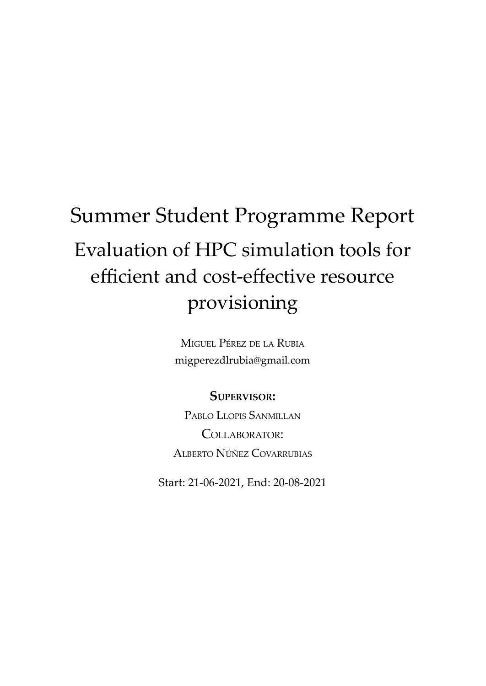# Summer Student Programme Report Evaluation of HPC simulation tools for efficient and cost-effective resource provisioning

MIGUEL PÉREZ DE LA RUBIA migperezdlrubia@gmail.com

**SUPERVISOR:**

PABLO LLOPIS SANMILLAN COLLABORATOR: ALBERTO NÚÑEZ COVARRUBIAS

Start: 21-06-2021, End: 20-08-2021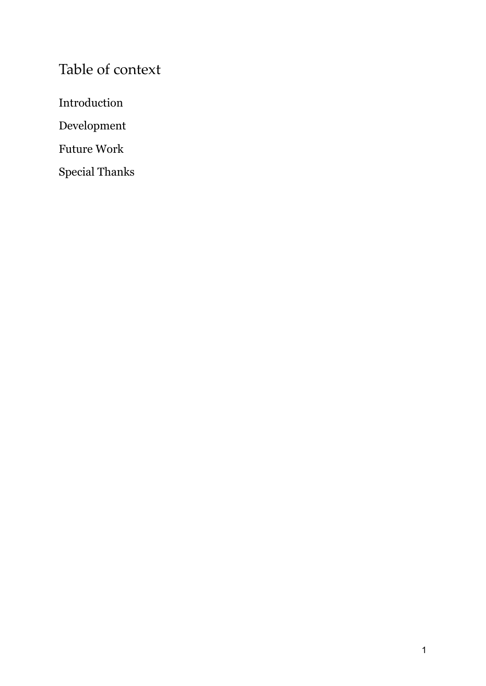# Table of context

Introduction

Development

Future Work

Special Thanks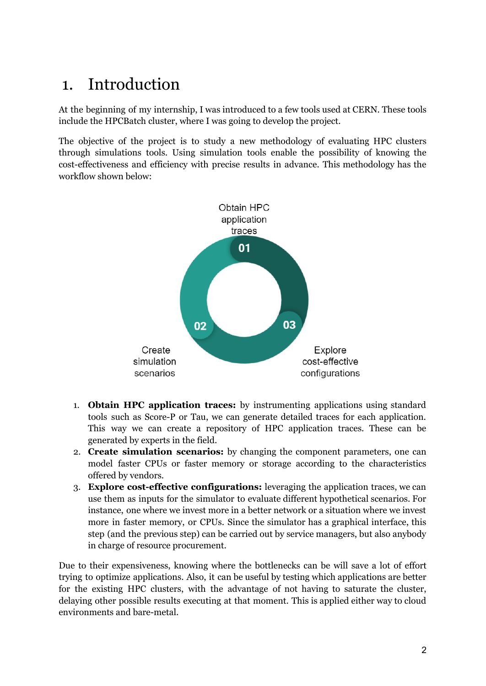# 1. Introduction

At the beginning of my internship, I was introduced to a few tools used at CERN. These tools include the HPCBatch cluster, where I was going to develop the project.

The objective of the project is to study a new methodology of evaluating HPC clusters through simulations tools. Using simulation tools enable the possibility of knowing the cost-effectiveness and efficiency with precise results in advance. This methodology has the workflow shown below:



- 1. **Obtain HPC application traces:** by instrumenting applications using standard tools such as Score-P or Tau, we can generate detailed traces for each application. This way we can create a repository of HPC application traces. These can be generated by experts in the field.
- 2. **Create simulation scenarios:** by changing the component parameters, one can model faster CPUs or faster memory or storage according to the characteristics offered by vendors.
- 3. **Explore cost-effective configurations:** leveraging the application traces, we can use them as inputs for the simulator to evaluate different hypothetical scenarios. For instance, one where we invest more in a better network or a situation where we invest more in faster memory, or CPUs. Since the simulator has a graphical interface, this step (and the previous step) can be carried out by service managers, but also anybody in charge of resource procurement.

Due to their expensiveness, knowing where the bottlenecks can be will save a lot of effort trying to optimize applications. Also, it can be useful by testing which applications are better for the existing HPC clusters, with the advantage of not having to saturate the cluster, delaying other possible results executing at that moment. This is applied either way to cloud environments and bare-metal.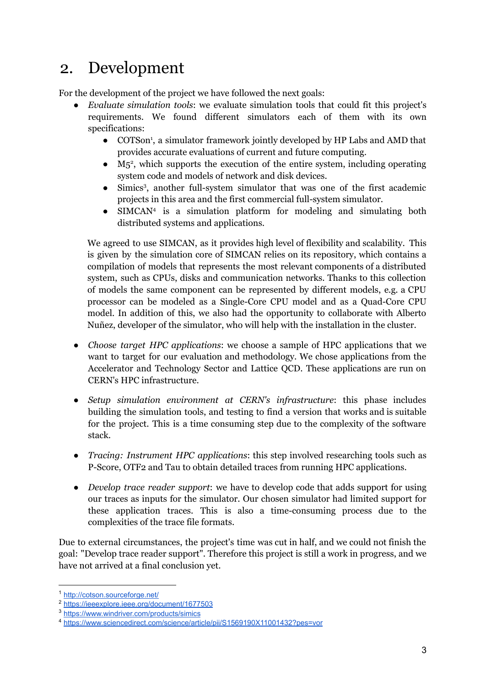# 2. Development

For the development of the project we have followed the next goals:

- *Evaluate simulation tools*: we evaluate simulation tools that could fit this project's requirements. We found different simulators each of them with its own specifications:
	- COTSon 1 , a simulator framework jointly developed by HP Labs and AMD that provides accurate evaluations of current and future computing.
	- $\bullet$  M<sub>5</sub><sup>2</sup>, which supports the execution of the entire system, including operating system code and models of network and disk devices.
	- Simics 3 , another full-system simulator that was one of the first academic projects in this area and the first commercial full-system simulator.
	- SIMCAN<sup>4</sup> is a simulation platform for modeling and simulating both distributed systems and applications.

We agreed to use SIMCAN, as it provides high level of flexibility and scalability. This is given by the simulation core of SIMCAN relies on its repository, which contains a compilation of models that represents the most relevant components of a distributed system, such as CPUs, disks and communication networks. Thanks to this collection of models the same component can be represented by different models, e.g. a CPU processor can be modeled as a Single-Core CPU model and as a Quad-Core CPU model. In addition of this, we also had the opportunity to collaborate with Alberto Nuñez, developer of the simulator, who will help with the installation in the cluster.

- *Choose target HPC applications*: we choose a sample of HPC applications that we want to target for our evaluation and methodology. We chose applications from the Accelerator and Technology Sector and Lattice QCD. These applications are run on CERN's HPC infrastructure.
- *Setup simulation environment at CERN's infrastructure*: this phase includes building the simulation tools, and testing to find a version that works and is suitable for the project. This is a time consuming step due to the complexity of the software stack.
- *Tracing: Instrument HPC applications*: this step involved researching tools such as P-Score, OTF2 and Tau to obtain detailed traces from running HPC applications.
- *Develop trace reader support*: we have to develop code that adds support for using our traces as inputs for the simulator. Our chosen simulator had limited support for these application traces. This is also a time-consuming process due to the complexities of the trace file formats.

Due to external circumstances, the project's time was cut in half, and we could not finish the goal: "Develop trace reader support". Therefore this project is still a work in progress, and we have not arrived at a final conclusion yet.

<sup>1</sup> <http://cotson.sourceforge.net/>

<sup>2</sup> <https://ieeexplore.ieee.org/document/1677503>

<sup>3</sup> <https://www.windriver.com/products/simics>

<sup>4</sup> <https://www.sciencedirect.com/science/article/pii/S1569190X11001432?pes=vor>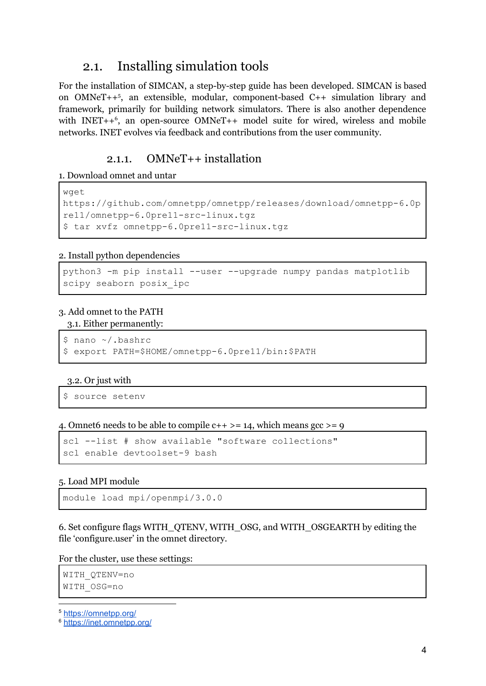### 2.1. Installing simulation tools

For the installation of SIMCAN, a step-by-step guide has been developed. SIMCAN is based on OMNeT++ 5 , an extensible, modular, component-based C++ simulation library and framework, primarily for building network simulators. There is also another dependence with INET++<sup>6</sup>, an open-source OMNeT++ model suite for wired, wireless and mobile networks. INET evolves via feedback and contributions from the user community.

### 2.1.1. OMNeT++ installation

#### 1. Download omnet and untar

```
wget
https://github.com/omnetpp/omnetpp/releases/download/omnetpp-6.0p
re11/omnetpp-6.0pre11-src-linux.tgz
$ tar xvfz omnetpp-6.0pre11-src-linux.tgz
```
#### 2. Install python dependencies

```
python3 -m pip install --user --upgrade numpy pandas matplotlib
scipy seaborn posix_ipc
```
#### 3. Add omnet to the PATH

#### 3.1. Either permanently:

```
$ nano ~/.bashrc
$ export PATH=$HOME/omnetpp-6.0pre11/bin:$PATH
```
#### 3.2. Or just with

\$ source setenv

#### 4. Omnet 6 needs to be able to compile  $c++ \geq 14$ , which means  $\text{gcc} \geq 9$

```
scl --list # show available "software collections"
scl enable devtoolset-9 bash
```
#### 5. Load MPI module

```
module load mpi/openmpi/3.0.0
```
6. Set configure flags WITH\_QTENV, WITH\_OSG, and WITH\_OSGEARTH by editing the file 'configure.user' in the omnet directory.

For the cluster, use these settings:

```
WITH_QTENV=no
WITH_OSG=no
```
<sup>5</sup> <https://omnetpp.org/>

```
6 https://inet.omnetpp.org/
```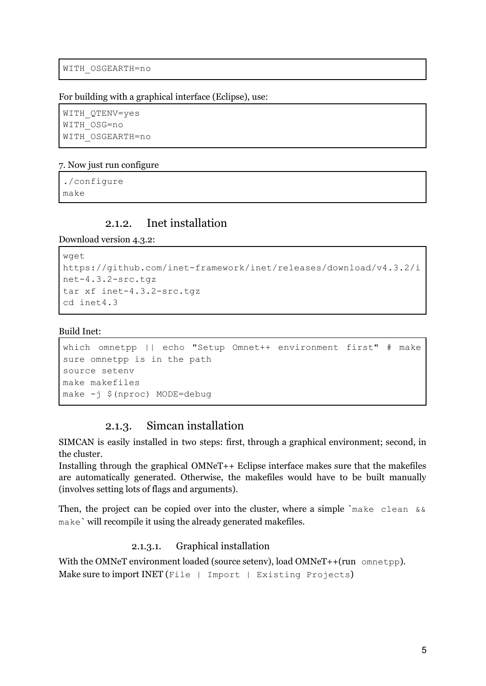```
WITH_OSGEARTH=no
```
For building with a graphical interface (Eclipse), use:

```
WITH_QTENV=yes
WITH_OSG=no
WITH_OSGEARTH=no
```
#### 7. Now just run configure

./configure make

#### 2.1.2. Inet installation

Download version 4.3.2:

```
wget
https://github.com/inet-framework/inet/releases/download/v4.3.2/i
net-4.3.2-src.tgz
tar xf inet-4.3.2-src.tgz
cd inet4.3
```
#### Build Inet:

```
which omnetpp || echo "Setup Omnet++ environment first" # make
sure omnetpp is in the path
source setenv
make makefiles
make -j $(nproc) MODE=debug
```
#### 2.1.3. Simcan installation

SIMCAN is easily installed in two steps: first, through a graphical environment; second, in the cluster.

Installing through the graphical OMNeT++ Eclipse interface makes sure that the makefiles are automatically generated. Otherwise, the makefiles would have to be built manually (involves setting lots of flags and arguments).

Then, the project can be copied over into the cluster, where a simple `make clean  $&\&$ make` will recompile it using the already generated makefiles.

#### 2.1.3.1. Graphical installation

With the OMNeT environment loaded (source setenv), load OMNeT++(run omnetpp). Make sure to import INET (File | Import | Existing Projects)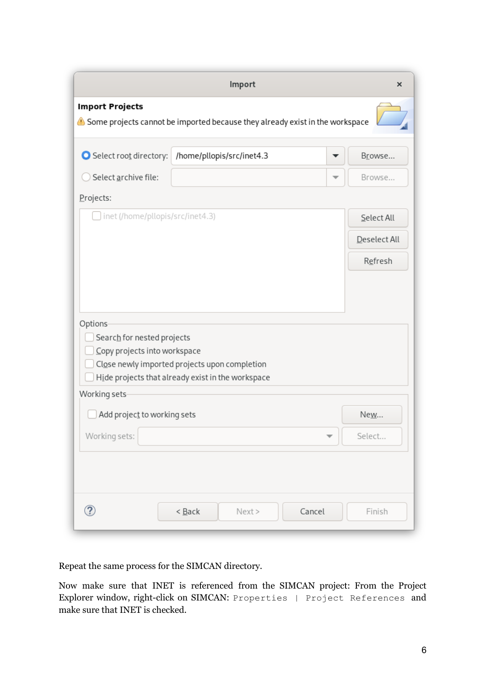|                                                                                                        | Import                                                                                             |   | $\times$     |  |
|--------------------------------------------------------------------------------------------------------|----------------------------------------------------------------------------------------------------|---|--------------|--|
| <b>Import Projects</b><br>Some projects cannot be imported because they already exist in the workspace |                                                                                                    |   |              |  |
| Select root directory:                                                                                 | /home/pllopis/src/inet4.3                                                                          |   | Browse       |  |
| Select archive file:                                                                                   |                                                                                                    | ▼ | Browse       |  |
| Projects:                                                                                              |                                                                                                    |   |              |  |
| inet (/home/pllopis/src/inet4.3)                                                                       | Select All                                                                                         |   |              |  |
|                                                                                                        |                                                                                                    |   | Deselect All |  |
|                                                                                                        |                                                                                                    |   | Refresh      |  |
| Options<br>Search for nested projects<br>Copy projects into workspace                                  | Close newly imported projects upon completion<br>Hide projects that already exist in the workspace |   |              |  |
| Working sets<br>Add project to working sets                                                            |                                                                                                    |   | Ne <u>w</u>  |  |
| Working sets:                                                                                          |                                                                                                    | ▼ | Select       |  |
| ②                                                                                                      | $<$ Back<br>Cancel<br>Next >                                                                       |   | Finish       |  |

Repeat the same process for the SIMCAN directory.

Now make sure that INET is referenced from the SIMCAN project: From the Project Explorer window, right-click on SIMCAN: Properties | Project References and make sure that INET is checked.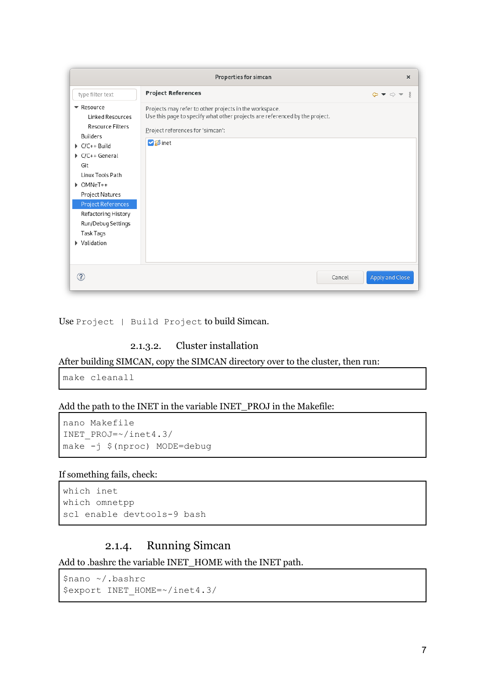| <b>Properties for simcan</b><br>$\times$                                                                                                                                                                                                                                               |                                                                                                                                                                                             |                                                             |  |
|----------------------------------------------------------------------------------------------------------------------------------------------------------------------------------------------------------------------------------------------------------------------------------------|---------------------------------------------------------------------------------------------------------------------------------------------------------------------------------------------|-------------------------------------------------------------|--|
| type filter text                                                                                                                                                                                                                                                                       | <b>Project References</b>                                                                                                                                                                   | $\Leftrightarrow \bullet \Leftrightarrow \bullet \ast \ast$ |  |
| Resource<br>Linked Resources<br><b>Resource Filters</b><br><b>Builders</b><br>$\triangleright$ C/C++ Build<br>C/C++ General<br>Git<br>Linux Tools Path<br>▶ OMNeT++<br>Project Natures<br>Project References<br>Refactoring History<br>Run/Debug Settings<br>Task Tags<br>▶ Validation | Projects may refer to other projects in the workspace.<br>Use this page to specify what other projects are referenced by the project.<br>Project references for 'simcan':<br><b>V</b> Sinet |                                                             |  |
| 7                                                                                                                                                                                                                                                                                      | Cancel                                                                                                                                                                                      | Apply and Close                                             |  |

Use Project | Build Project to build Simcan.

#### 2.1.3.2. Cluster installation

After building SIMCAN, copy the SIMCAN directory over to the cluster, then run:

make cleanall

Add the path to the INET in the variable INET\_PROJ in the Makefile:

```
nano Makefile
INET_PROJ=~/inet4.3/
make -j $(nproc) MODE=debug
```
#### If something fails, check:

```
which inet
which omnetpp
scl enable devtools-9 bash
```
### 2.1.4. Running Simcan

Add to .bashrc the variable INET\_HOME with the INET path.

```
$nano ~/.bashrc
$export INET_HOME=~/inet4.3/
```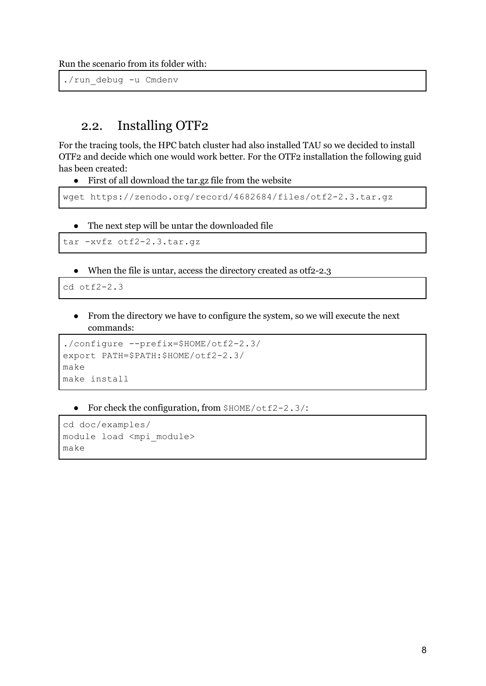Run the scenario from its folder with:

./run\_debug -u Cmdenv

### 2.2. Installing OTF2

For the tracing tools, the HPC batch cluster had also installed TAU so we decided to install OTF2 and decide which one would work better. For the OTF2 installation the following guid has been created:

● First of all download the tar.gz file from the website

```
wget https://zenodo.org/record/4682684/files/otf2-2.3.tar.gz
```
● The next step will be untar the downloaded file

```
tar -xvfz otf2-2.3.tar.gz
```
● When the file is untar, access the directory created as otf2-2.3

cd otf2-2.3

● From the directory we have to configure the system, so we will execute the next commands:

```
./configure --prefix=$HOME/otf2-2.3/
export PATH=$PATH:$HOME/otf2-2.3/
make
make install
```
• For check the configuration, from  $$HOME/otE2-2.3/$ :

```
cd doc/examples/
module load <mpi_module>
make
```